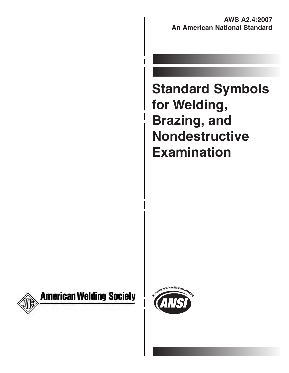**AWS A2.4:2007 An American National Standard**

**Standard Symbols for Welding, Brazing, and Nondestructive Examination**



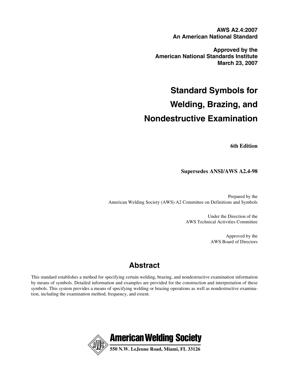**AWS A2.4:2007 An American National Standard**

**Approved by the American National Standards Institute March 23, 2007**

**Standard Symbols for Welding, Brazing, and Nondestructive Examination**

**6th Edition**

**Supersedes ANSI/AWS A2.4-98**

Prepared by the American Welding Society (AWS) A2 Committee on Definitions and Symbols

> Under the Direction of the AWS Technical Activities Committee

> > Approved by the AWS Board of Directors

## **Abstract**

This standard establishes a method for specifying certain welding, brazing, and nondestructive examination information by means of symbols. Detailed information and examples are provided for the construction and interpretation of these symbols. This system provides a means of specifying welding or brazing operations as well as nondestructive examination, including the examination method, frequency, and extent.

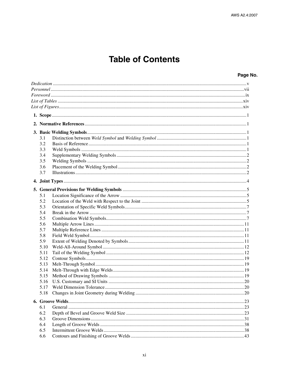# **Table of Contents**

### Page No.

| 3.1  |  |  |  |
|------|--|--|--|
| 3.2  |  |  |  |
| 3.3  |  |  |  |
| 3.4  |  |  |  |
| 3.5  |  |  |  |
| 3.6  |  |  |  |
| 3.7  |  |  |  |
|      |  |  |  |
|      |  |  |  |
|      |  |  |  |
| 5.1  |  |  |  |
| 5.2  |  |  |  |
| 5.3  |  |  |  |
| 5.4  |  |  |  |
| 5.5  |  |  |  |
| 5.6  |  |  |  |
| 5.7  |  |  |  |
| 5.8  |  |  |  |
| 5.9  |  |  |  |
| 5.10 |  |  |  |
| 5.11 |  |  |  |
| 5.12 |  |  |  |
| 5.13 |  |  |  |
| 5.14 |  |  |  |
| 5.15 |  |  |  |
| 5.16 |  |  |  |
| 5.17 |  |  |  |
|      |  |  |  |
|      |  |  |  |
| 6.1  |  |  |  |
| 6.2  |  |  |  |
| 6.3  |  |  |  |
| 6.4  |  |  |  |
| 6.5  |  |  |  |
| 6.6  |  |  |  |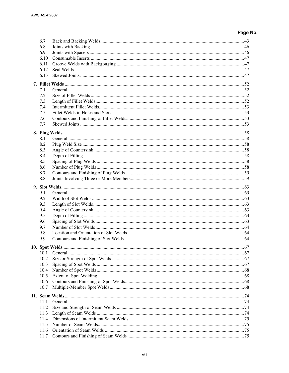## Page No.

| 6.7        |  |
|------------|--|
| 6.8        |  |
| 6.9        |  |
| 6.10       |  |
| 6.11       |  |
| 6.12       |  |
| 6.13       |  |
|            |  |
| 7.1        |  |
| 7.2        |  |
| 7.3        |  |
| 7.4        |  |
| 7.5        |  |
| 7.6        |  |
| 7.7        |  |
|            |  |
| 8.1        |  |
| 8.2        |  |
| 8.3        |  |
| 8.4        |  |
| 8.5        |  |
| 8.6        |  |
| 8.7        |  |
| 8.8        |  |
|            |  |
|            |  |
| 9.1        |  |
| 9.2        |  |
| 9.3        |  |
| 9.4        |  |
| 9.5        |  |
| 9.6        |  |
| 9.7        |  |
| 9.8<br>9.9 |  |
|            |  |
|            |  |
| 10.1       |  |
| 10.2       |  |
| 10.3       |  |
| 10.4       |  |
| 10.5       |  |
| 10.6       |  |
| 10.7       |  |
|            |  |
| 11.1       |  |
| 11.2       |  |
| 11.3       |  |
| 11.4       |  |
| 11.5       |  |
| 11.6       |  |
| 11.7       |  |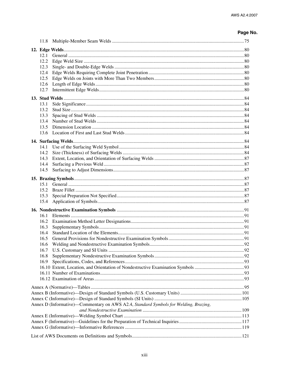### Page No.

|  | 12.1         |                                                                                      |  |
|--|--------------|--------------------------------------------------------------------------------------|--|
|  | 12.2         |                                                                                      |  |
|  | 12.3         |                                                                                      |  |
|  | 12.4         |                                                                                      |  |
|  | 12.5         |                                                                                      |  |
|  | 12.6         |                                                                                      |  |
|  | 12.7         |                                                                                      |  |
|  |              |                                                                                      |  |
|  | 13.1         |                                                                                      |  |
|  | 13.2         |                                                                                      |  |
|  | 13.3         |                                                                                      |  |
|  | 13.4         |                                                                                      |  |
|  | 13.5         |                                                                                      |  |
|  | 13.6         |                                                                                      |  |
|  |              |                                                                                      |  |
|  | 14.1         |                                                                                      |  |
|  | 14.2         |                                                                                      |  |
|  | 14.3         |                                                                                      |  |
|  | 14.4         |                                                                                      |  |
|  | 14.5         |                                                                                      |  |
|  |              |                                                                                      |  |
|  |              |                                                                                      |  |
|  | 15.1<br>15.2 |                                                                                      |  |
|  | 15.3         |                                                                                      |  |
|  | 15.4         |                                                                                      |  |
|  |              |                                                                                      |  |
|  |              |                                                                                      |  |
|  | 16.1         |                                                                                      |  |
|  | 16.2         |                                                                                      |  |
|  | 16.3         |                                                                                      |  |
|  | 16.4         |                                                                                      |  |
|  | 16.5<br>16.6 |                                                                                      |  |
|  |              |                                                                                      |  |
|  | 16.8         |                                                                                      |  |
|  | 16.9         |                                                                                      |  |
|  |              |                                                                                      |  |
|  |              |                                                                                      |  |
|  |              |                                                                                      |  |
|  |              |                                                                                      |  |
|  |              |                                                                                      |  |
|  |              |                                                                                      |  |
|  |              | Annex D (Informative)—Commentary on AWS A2.4, Standard Symbols for Welding, Brazing, |  |
|  |              |                                                                                      |  |
|  |              |                                                                                      |  |
|  |              |                                                                                      |  |
|  |              |                                                                                      |  |
|  |              |                                                                                      |  |
|  |              |                                                                                      |  |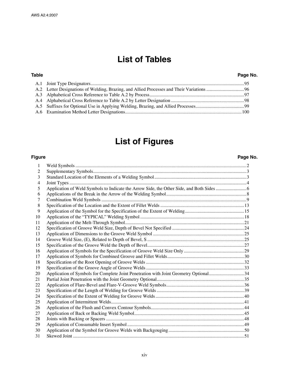## **List of Tables**

#### **Table Page No.**

## **List of Figures**

#### **Figure Page No.**

#### 1 Weld Symbols .................................................................................................................................................2 2 Supplementary Symbols..................................................................................................................................3 3 Standard Location of the Elements of a Welding Symbol ..............................................................................3 4 Joint Types ......................................................................................................................................................4 5 Application of Weld Symbols to Indicate the Arrow Side, the Other Side, and Both Sides ..........................6 6 Applications of the Break in the Arrow of the Welding Symbol....................................................................8 7 Combination Weld Symbols ...........................................................................................................................9 8 Specification of the Location and the Extent of Fillet Welds .......................................................................13 9 Application of the Symbol for the Specification of the Extent of Welding..................................................15 10 Application of the "TYPICAL" Welding Symbol ........................................................................................18 11 Application of the Melt-Through Symbol.....................................................................................................21 12 Specification of Groove Weld Size, Depth of Bevel Not Specified .............................................................24 13 Application of Dimensions to the Groove Weld Symbol .............................................................................25 14 Groove Weld Size, (E), Related to Depth of Bevel, S ..................................................................................25 15 Specification of the Groove Weld the Depth of Bevel..................................................................................27 16 Application of Symbols for the Specification of Groove Weld Size Only ...................................................29 17 Application of Symbols for Combined Groove and Fillet Welds.................................................................30 18 Specification of the Root Opening of Groove Welds ...................................................................................32 19 Specification of the Groove Angle of Groove Welds ...................................................................................33 20 Application of Symbols for Complete Joint Penetration with Joint Geometry Optional..............................34 21 Partial Joint Penetration with the Joint Geometry Optional..........................................................................35 22 Application of Flare-Bevel and Flare-V-Groove Weld Symbols..................................................................36 23 Specification of the Length of Welding for Groove Welds ..........................................................................39 24 Specification of the Extent of Welding for Groove Welds ...........................................................................40 25 Application of Intermittent Welds.................................................................................................................41 26 Application of the Flush and Convex Contour Symbols...............................................................................44 27 Application of Back or Backing Weld Symbol.............................................................................................45 28 Joints with Backing or Spacers .....................................................................................................................48 29 Application of Consumable Insert Symbol ...................................................................................................49 30 Application of the Symbol for Groove Welds with Backgouging................................................................50

31 Skewed Joint .................................................................................................................................................51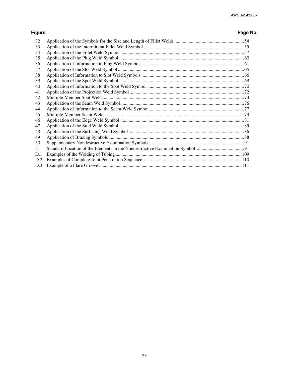## Page No.

| 32  |  |
|-----|--|
| 33  |  |
| 34  |  |
| 35  |  |
| 36  |  |
| 37  |  |
| 38  |  |
| 39  |  |
| 40  |  |
| 41  |  |
| 42  |  |
| 43  |  |
| 44  |  |
| 45  |  |
| 46  |  |
| 47  |  |
| 48  |  |
| 49  |  |
| 50  |  |
| 51  |  |
| D.1 |  |
| D.2 |  |
| D.3 |  |

**Figure**